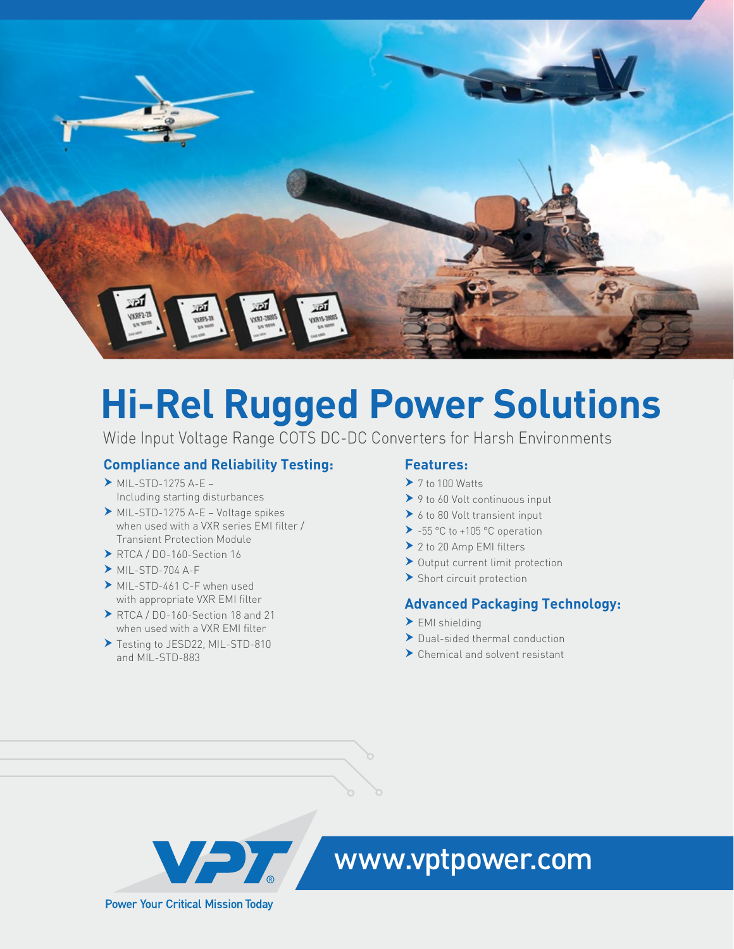

# **Hi-Rel Rugged Power Solutions**

Wide Input Voltage Range COTS DC-DC Converters for Harsh Environments

## **Compliance and Reliability Testing:**

- $\triangleright$  MIL-STD-1275 A-E Including starting disturbances
- $\triangleright$  MIL-STD-1275 A-E Voltage spikes when used with a VXR series EMI filter / Transient Protection Module
- $\triangleright$  RTCA / DO-160-Section 16
- $MIL-STD-704 A-F$
- MIL-STD-461 C-F when used with appropriate VXR EMI filter
- $\triangleright$  RTCA / DO-160-Section 18 and 21 when used with a VXR EMI filter
- ▶ Testing to JESD22, MIL-STD-810 and MIL-STD-883

## **Features:**

- $\blacktriangleright$  7 to 100 Watts
- $\triangleright$  9 to 60 Volt continuous input
- $\triangleright$  6 to 80 Volt transient input
- $\triangleright$  -55 °C to +105 °C operation
- $\geq 2$  to 20 Amp EMI filters
- $\blacktriangleright$  Output current limit protection
- $\blacktriangleright$  Short circuit protection

## **Advanced Packaging Technology:**

- $\blacktriangleright$  EMI shielding
- $\blacktriangleright$  Dual-sided thermal conduction
- $\blacktriangleright$  Chemical and solvent resistant



## **WAY WWW.vptpower.com**

**Power Your Critical Mission Today**